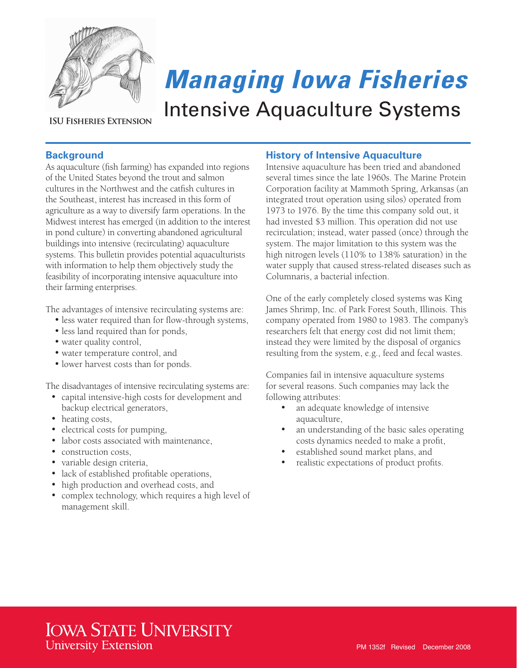

## **ISU FISHERIES EXTENSION**

# *Managing Iowa Fisheries* Intensive Aquaculture Systems

# **Background**

As aquaculture (fish farming) has expanded into regions of the United States beyond the trout and salmon cultures in the Northwest and the catfish cultures in the Southeast, interest has increased in this form of agriculture as a way to diversify farm operations. In the Midwest interest has emerged (in addition to the interest in pond culture) in converting abandoned agricultural buildings into intensive (recirculating) aquaculture systems. This bulletin provides potential aquaculturists with information to help them objectively study the feasibility of incorporating intensive aquaculture into their farming enterprises.

The advantages of intensive recirculating systems are:

- less water required than for flow-through systems,
- less land required than for ponds,
- water quality control,
- water temperature control, and
- lower harvest costs than for ponds.

The disadvantages of intensive recirculating systems are:

- • capital intensive-high costs for development and backup electrical generators,
- heating costs,
- electrical costs for pumping,
- labor costs associated with maintenance,
- construction costs.
- variable design criteria,
- • lack of established profitable operations,
- high production and overhead costs, and
- complex technology, which requires a high level of management skill.

## **History of Intensive Aquaculture**

Intensive aquaculture has been tried and abandoned several times since the late 1960s. The Marine Protein Corporation facility at Mammoth Spring, Arkansas (an integrated trout operation using silos) operated from 1973 to 1976. By the time this company sold out, it had invested \$3 million. This operation did not use recirculation; instead, water passed (once) through the system. The major limitation to this system was the high nitrogen levels (110% to 138% saturation) in the water supply that caused stress-related diseases such as Columnaris, a bacterial infection.

One of the early completely closed systems was King James Shrimp, Inc. of Park Forest South, Illinois. This company operated from 1980 to 1983. The company's researchers felt that energy cost did not limit them; instead they were limited by the disposal of organics resulting from the system, e.g., feed and fecal wastes.

Companies fail in intensive aquaculture systems for several reasons. Such companies may lack the following attributes:

- an adequate knowledge of intensive aquaculture,
- an understanding of the basic sales operating costs dynamics needed to make a profit,
- established sound market plans, and
- realistic expectations of product profits.

# **IOWA STATE UNIVERSITY University Extension**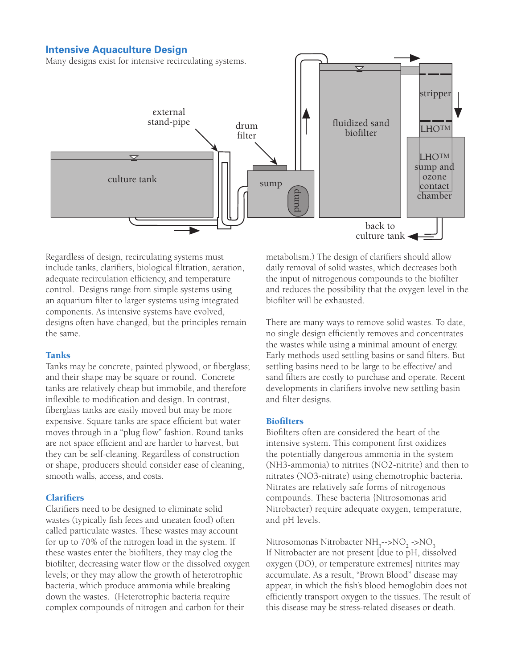#### **Intensive Aquaculture Design**

Many designs exist for intensive recirculating systems.



Regardless of design, recirculating systems must include tanks, clarifiers, biological filtration, aeration, adequate recirculation efficiency, and temperature control. Designs range from simple systems using an aquarium filter to larger systems using integrated components. As intensive systems have evolved, designs often have changed, but the principles remain the same.

#### Tanks

Tanks may be concrete, painted plywood, or fiberglass; and their shape may be square or round. Concrete tanks are relatively cheap but immobile, and therefore inflexible to modification and design. In contrast, fiberglass tanks are easily moved but may be more expensive. Square tanks are space efficient but water moves through in a "plug flow" fashion. Round tanks are not space efficient and are harder to harvest, but they can be self-cleaning. Regardless of construction or shape, producers should consider ease of cleaning, smooth walls, access, and costs.

#### **Clarifiers**

Clarifiers need to be designed to eliminate solid wastes (typically fish feces and uneaten food) often called particulate wastes. These wastes may account for up to 70% of the nitrogen load in the system. If these wastes enter the biofilters, they may clog the biofilter, decreasing water flow or the dissolved oxygen levels; or they may allow the growth of heterotrophic bacteria, which produce ammonia while breaking down the wastes. (Heterotrophic bacteria require complex compounds of nitrogen and carbon for their

metabolism.) The design of clarifiers should allow daily removal of solid wastes, which decreases both the input of nitrogenous compounds to the biofilter and reduces the possibility that the oxygen level in the biofilter will be exhausted.

There are many ways to remove solid wastes. To date, no single design efficiently removes and concentrates the wastes while using a minimal amount of energy. Early methods used settling basins or sand filters. But settling basins need to be large to be effective/ and sand filters are costly to purchase and operate. Recent developments in clarifiers involve new settling basin and filter designs.

#### **Biofilters**

Biofilters often are considered the heart of the intensive system. This component first oxidizes the potentially dangerous ammonia in the system (NH3-ammonia) to nitrites (NO2-nitrite) and then to nitrates (NO3-nitrate) using chemotrophic bacteria. Nitrates are relatively safe forms of nitrogenous compounds. These bacteria {Nitrosomonas arid Nitrobacter) require adequate oxygen, temperature, and pH levels.

Nitrosomonas Nitrobacter NH<sub>3</sub>-->NO<sub>2</sub> ->NO<sub>3</sub> If Nitrobacter are not present [due to pH, dissolved oxygen (DO), or temperature extremes] nitrites may accumulate. As a result, "Brown Blood" disease may appear, in which the fish's blood hemoglobin does not efficiently transport oxygen to the tissues. The result of this disease may be stress-related diseases or death.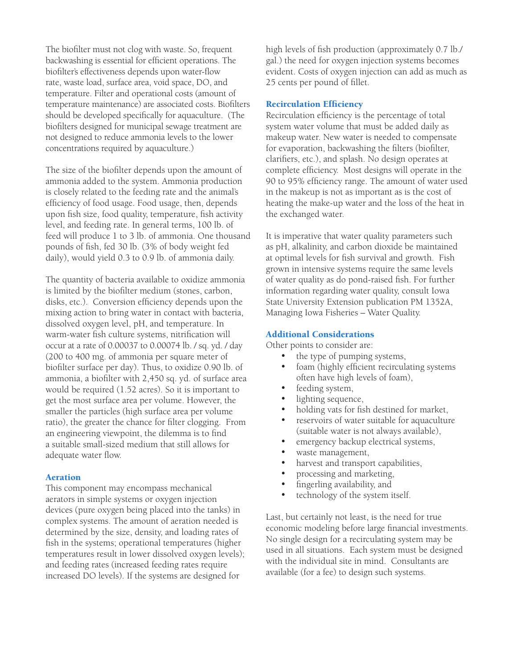The biofilter must not clog with waste. So, frequent backwashing is essential for efficient operations. The biofilter's effectiveness depends upon water-flow rate, waste load, surface area, void space, DO, and temperature. Filter and operational costs (amount of temperature maintenance) are associated costs. Biofilters should be developed specifically for aquaculture. (The biofilters designed for municipal sewage treatment are not designed to reduce ammonia levels to the lower concentrations required by aquaculture.)

The size of the biofilter depends upon the amount of ammonia added to the system. Ammonia production is closely related to the feeding rate and the animal's efficiency of food usage. Food usage, then, depends upon fish size, food quality, temperature, fish activity level, and feeding rate. In general terms, 100 lb. of feed will produce 1 to 3 lb. of ammonia. One thousand pounds of fish, fed 30 lb. (3% of body weight fed daily), would yield 0.3 to 0.9 lb. of ammonia daily.

The quantity of bacteria available to oxidize ammonia is limited by the biofilter medium (stones, carbon, disks, etc.). Conversion efficiency depends upon the mixing action to bring water in contact with bacteria, dissolved oxygen level, pH, and temperature. In warm-water fish culture systems, nitrification will occur at a rate of 0.00037 to 0.00074 lb. / sq. yd. / day (200 to 400 mg. of ammonia per square meter of biofilter surface per day). Thus, to oxidize 0.90 lb. of ammonia, a biofilter with 2,450 sq. yd. of surface area would be required (1.52 acres). So it is important to get the most surface area per volume. However, the smaller the particles (high surface area per volume ratio), the greater the chance for filter clogging. From an engineering viewpoint, the dilemma is to find a suitable small-sized medium that still allows for adequate water flow.

#### Aeration

This component may encompass mechanical aerators in simple systems or oxygen injection devices (pure oxygen being placed into the tanks) in complex systems. The amount of aeration needed is determined by the size, density, and loading rates of fish in the systems; operational temperatures (higher temperatures result in lower dissolved oxygen levels); and feeding rates (increased feeding rates require increased DO levels). If the systems are designed for

high levels of fish production (approximately 0.7 lb./ gal.) the need for oxygen injection systems becomes evident. Costs of oxygen injection can add as much as 25 cents per pound of fillet.

#### Recirculation Efficiency

Recirculation efficiency is the percentage of total system water volume that must be added daily as makeup water. New water is needed to compensate for evaporation, backwashing the filters (biofilter, clarifiers, etc.), and splash. No design operates at complete efficiency. Most designs will operate in the 90 to 95% efficiency range. The amount of water used in the makeup is not as important as is the cost of heating the make-up water and the loss of the heat in the exchanged water.

It is imperative that water quality parameters such as pH, alkalinity, and carbon dioxide be maintained at optimal levels for fish survival and growth. Fish grown in intensive systems require the same levels of water quality as do pond-raised fish. For further information regarding water quality, consult Iowa State University Extension publication PM 1352A, Managing Iowa Fisheries – Water Quality.

#### Additional Considerations

Other points to consider are:

- the type of pumping systems,
- foam (highly efficient recirculating systems often have high levels of foam),
- feeding system,
- lighting sequence,
- holding vats for fish destined for market,
- reservoirs of water suitable for aquaculture (suitable water is not always available),
- emergency backup electrical systems,
- waste management,
- harvest and transport capabilities,
- processing and marketing,
- fingerling availability, and
- technology of the system itself.

Last, but certainly not least, is the need for true economic modeling before large financial investments. No single design for a recirculating system may be used in all situations. Each system must be designed with the individual site in mind. Consultants are available (for a fee) to design such systems.